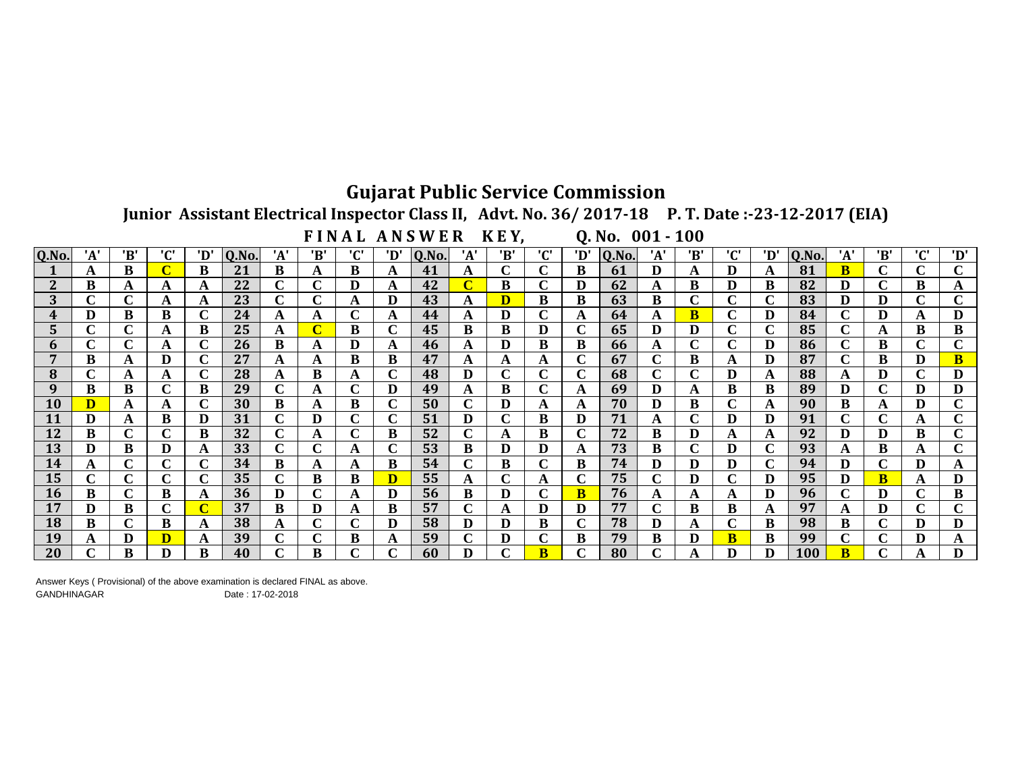## **Gujarat Public Service Commission**

Junior Assistant Electrical Inspector Class II, Advt. No. 36/2017-18 P. T. Date:-23-12-2017 (EIA)

FINAL ANSWER KEY,

 $0. No. 001 - 100$ 

| Q.No.        | 'A' | 'B' | ירי    | 'D'    | Q.No. | 'A' | 'B'    | ירי    | 'D'         | <b>Q.No.</b> | 'A' | 'B' | ירי                | 'D'    | Q.No. | 'A'    | 'B'         | 'C' | 'D' | Q.No. | 'A'          | 'B' | ירי<br>ι.   | 'D'         |
|--------------|-----|-----|--------|--------|-------|-----|--------|--------|-------------|--------------|-----|-----|--------------------|--------|-------|--------|-------------|-----|-----|-------|--------------|-----|-------------|-------------|
|              | A   | B   |        | B      | 21    | B   | A      | B      | A           | 41           | A   | C   | C                  | B      | 61    | D      | A           | D   | A   | 81    | B            | ⌒   | $\mathbf C$ | $\mathbf C$ |
| ำ            | B   |     | A      |        | 22    | C   | r      | D      | A           | 42           | C   | B   | C                  | D      | 62    | A      | B           | D   | B   | 82    | D            | ⌒   | B           | A           |
| 3            |     |     |        |        | 23    | C   | ⌒      |        | D           | 43           | А   | D   | B                  | B      | 63    | B      | ⌒<br>U      | ⌒   | C   | 83    | D            | D   | C           | $\mathbf C$ |
| 4            | D   | B   | B      | $\sim$ | 24    |     | A      | ⌒      | A           | 44           | A   | D   | $\sim$             | A      | 64    | A      | в           | C   | D   | 84    | $\mathbf{C}$ | D   | A           | D           |
| $\mathbf{D}$ |     |     |        | B      | 25    | A   | C      | B      | C           | 45           | В   | B   | D                  | ⌒      | 65    | D      | D           | C   | C   | 85    | C            |     | В           | B           |
| n            |     |     |        | $\sim$ | 26    | B   | A      | D      | A           | 46           | A   | D   | B                  | B      | 66    | A      | $\sim$<br>U | C   | D   | 86    | $\mathbf{C}$ | B   | $\mathbf C$ | $\mathbf C$ |
|              | B   |     |        | $\sim$ | 27    | A   | A      | B      | B           | 47           | A   | A   | A                  |        | 67    | ⌒      | B           | A   | D   | 87    | C            | B   | D           | $\bf{B}$    |
| 8            |     |     |        | ⌒      | 28    | A   | B      |        | C           | 48           | D   | r   | $\mathbf{C}$<br>U  | ⌒      | 68    | ⌒      | $\mathbf C$ | D   | A   | 88    | A            | D   | $\mathbf C$ | D           |
| 9            | B   | B   | $\sim$ | B      | 29    | C   | A      |        | D           | 49           | A   | B   | ⌒                  | A      | 69    | D      | A           | B   | В   | 89    | D            | ⌒   | D           | D           |
| <b>10</b>    |     |     | А      |        | 30    | B   | A      | в      | ⌒<br>U      | 50           | C   | D   | A                  | A      | 70    | D      | B           | C   | A   | 90    | B            | A   | D           | $\mathbf C$ |
|              | D   |     | B      | D      | 31    | C   | D      |        | ι.          | 51           | D   |     | B                  | D      | 71    | A      | $\mathbf C$ | D   | D   | 91    | ⌒            |     | А           | C           |
| 12           | B   |     |        | B      | 32    | C   | A      |        | B           | 52           | C   | A   | B                  |        | 72    | B      | D           | A   | A   | 92    | D            |     | B           | C           |
| 13           | D   | B   |        |        | 33    | C   | ⌒      |        | ⌒<br>τ.     | 53           | в   | D   | D                  | A      | 73    | B      | ⌒<br>ι.     | D   | C   | 93    |              | B   | A           | C           |
| 14           |     |     | ⌒      | $\sim$ | 34    | B   | A      |        | B           | 54           | C   | В   | ⌒                  | B      | 74    | D      | D           | D   | С   | 94    | D            | C   | D           |             |
| 15           |     |     |        | ⌒      | 35    | C   | B      | B      | $\mathbf D$ | 55           | A   |     | A                  |        | 75    | ⌒<br>◡ | D           | ⌒   | D   | 95    | D            | В   | А           | D           |
| <b>16</b>    | B   |     | B      | A      | 36    | D   | $\sim$ |        | D           | 56           | B   | D   | $\curvearrowright$ | B      | 76    | A      | A           | A   | D   | 96    | С            | D   | C           | B           |
| 17           | D   | B   | ⌒      |        | 37    | B   | D      |        | B           | 57           | C   | A   | D                  | D      | 77    | ⌒      | B           | B   | A   | 97    |              | D   | $\mathbf C$ | $\mathbf C$ |
| <b>18</b>    | B   |     | B      |        | 38    | A   | ⌒      | $\sim$ | D           | 58           | D   | D   | B                  | $\sim$ | 78    | D      | A           | C   | B   | 98    | B            | C   | D           | D           |
| 19           |     |     |        |        | 39    | C   | C      | B      | A           | 59           |     |     | ⌒                  | В      | 79    | B      | D           | B   | B   | 99    | ⌒            | C   | D           | A           |
| 20           |     | B   |        | B      | 40    | ⌒   | B      |        | ⌒           | 60           | D   | ⌒   | B                  | ⌒      | 80    | ⌒      |             | D   | D   | 100   | R            | ⌒   |             | D           |

Answer Keys (Provisional) of the above examination is declared FINAL as above. **GANDHINAGAR** Date: 17-02-2018